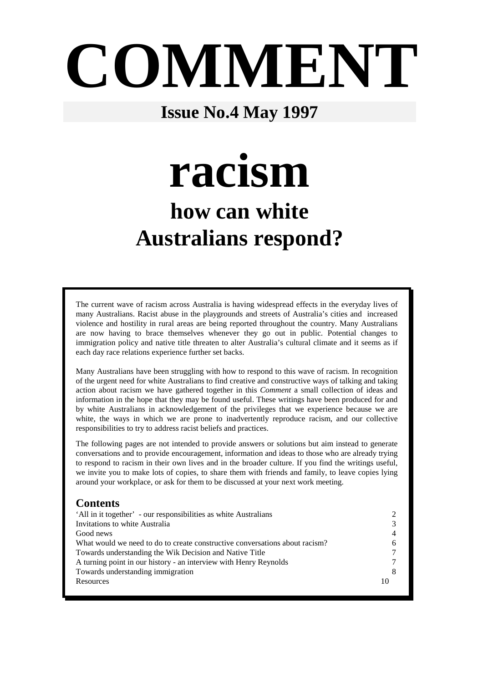# **COMMENT**

# **Issue No.4 May 1997**

**racism** 

# **how can white Australians respond?**

The current wave of racism across Australia is having widespread effects in the everyday lives of many Australians. Racist abuse in the playgrounds and streets of Australia's cities and increased violence and hostility in rural areas are being reported throughout the country. Many Australians are now having to brace themselves whenever they go out in public. Potential changes to immigration policy and native title threaten to alter Australia's cultural climate and it seems as if each day race relations experience further set backs.

Many Australians have been struggling with how to respond to this wave of racism. In recognition of the urgent need for white Australians to find creative and constructive ways of talking and taking action about racism we have gathered together in this *Comment* a small collection of ideas and information in the hope that they may be found useful. These writings have been produced for and by white Australians in acknowledgement of the privileges that we experience because we are white, the ways in which we are prone to inadvertently reproduce racism, and our collective responsibilities to try to address racist beliefs and practices.

The following pages are not intended to provide answers or solutions but aim instead to generate conversations and to provide encouragement, information and ideas to those who are already trying to respond to racism in their own lives and in the broader culture. If you find the writings useful, we invite you to make lots of copies, to share them with friends and family, to leave copies lying around your workplace, or ask for them to be discussed at your next work meeting.

#### **Contents**

| 'All in it together' - our responsibilities as white Australians            |    |
|-----------------------------------------------------------------------------|----|
| Invitations to white Australia                                              |    |
| Good news                                                                   |    |
| What would we need to do to create constructive conversations about racism? |    |
| Towards understanding the Wik Decision and Native Title                     |    |
| A turning point in our history - an interview with Henry Reynolds           |    |
| Towards understanding immigration                                           |    |
| Resources                                                                   | 10 |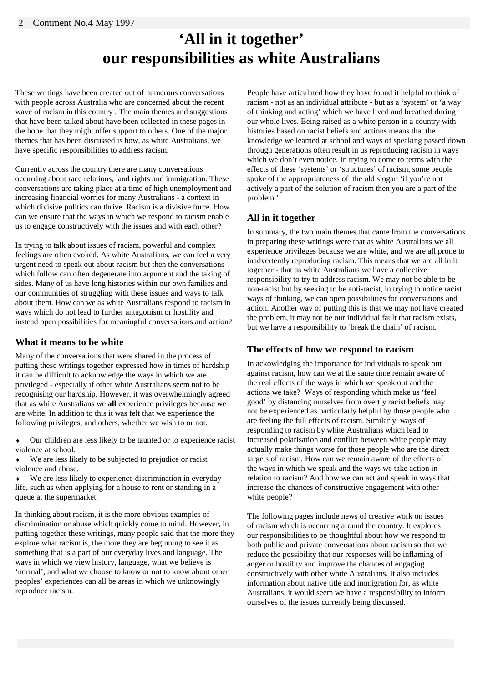## **'All in it together' our responsibilities as white Australians**

These writings have been created out of numerous conversations with people across Australia who are concerned about the recent wave of racism in this country . The main themes and suggestions that have been talked about have been collected in these pages in the hope that they might offer support to others. One of the major themes that has been discussed is how, as white Australians, we have specific responsibilities to address racism.

Currently across the country there are many conversations occurring about race relations, land rights and immigration. These conversations are taking place at a time of high unemployment and increasing financial worries for many Australians - a context in which divisive politics can thrive. Racism is a divisive force. How can we ensure that the ways in which we respond to racism enable us to engage constructively with the issues and with each other?

In trying to talk about issues of racism, powerful and complex feelings are often evoked. As white Australians, we can feel a very urgent need to speak out about racism but then the conversations which follow can often degenerate into argument and the taking of sides. Many of us have long histories within our own families and our communities of struggling with these issues and ways to talk about them. How can we as white Australians respond to racism in ways which do not lead to further antagonism or hostility and instead open possibilities for meaningful conversations and action?

#### **What it means to be white**

Many of the conversations that were shared in the process of putting these writings together expressed how in times of hardship it can be difficult to acknowledge the ways in which we are privileged - especially if other white Australians seem not to be recognising our hardship. However, it was overwhelmingly agreed that as white Australians we **all** experience privileges because we are white. In addition to this it was felt that we experience the following privileges, and others, whether we wish to or not.

- Our children are less likely to be taunted or to experience racist violence at school.
- We are less likely to be subjected to prejudice or racist violence and abuse.
- ♦ We are less likely to experience discrimination in everyday life, such as when applying for a house to rent or standing in a queue at the supermarket.

In thinking about racism, it is the more obvious examples of discrimination or abuse which quickly come to mind. However, in putting together these writings, many people said that the more they explore what racism is, the more they are beginning to see it as something that is a part of our everyday lives and language. The ways in which we view history, language, what we believe is 'normal', and what we choose to know or not to know about other peoples' experiences can all be areas in which we unknowingly reproduce racism.

People have articulated how they have found it helpful to think of racism - not as an individual attribute - but as a 'system' or 'a way of thinking and acting' which we have lived and breathed during our whole lives. Being raised as a white person in a country with histories based on racist beliefs and actions means that the knowledge we learned at school and ways of speaking passed down through generations often result in us reproducing racism in ways which we don't even notice. In trying to come to terms with the effects of these 'systems' or 'structures' of racism, some people spoke of the appropriateness of the old slogan 'if you're not actively a part of the solution of racism then you are a part of the problem.'

#### **All in it together**

In summary, the two main themes that came from the conversations in preparing these writings were that as white Australians we all experience privileges because we are white, and we are all prone to inadvertently reproducing racism. This means that we are all in it together - that as white Australians we have a collective responsibility to try to address racism. We may not be able to be non-racist but by seeking to be anti-racist, in trying to notice racist ways of thinking, we can open possibilities for conversations and action. Another way of putting this is that we may not have created the problem, it may not be our individual fault that racism exists, but we have a responsibility to 'break the chain' of racism.

#### **The effects of how we respond to racism**

In ackowledging the importance for individuals to speak out against racism, how can we at the same time remain aware of the real effects of the ways in which we speak out and the actions we take? Ways of responding which make us 'feel good' by distancing ourselves from overtly racist beliefs may not be experienced as particularly helpful by those people who are feeling the full effects of racism. Similarly, ways of responding to racism by white Australians which lead to increased polarisation and conflict between white people may actually make things worse for those people who are the direct targets of racism. How can we remain aware of the effects of the ways in which we speak and the ways we take action in relation to racism? And how we can act and speak in ways that increase the chances of constructive engagement with other white people?

The following pages include news of creative work on issues of racism which is occurring around the country. It explores our responsibilities to be thoughtful about how we respond to both public and private conversations about racism so that we reduce the possibility that our responses will be inflaming of anger or hostility and improve the chances of engaging constructively with other white Australians. It also includes information about native title and immigration for, as white Australians, it would seem we have a responsibility to inform ourselves of the issues currently being discussed.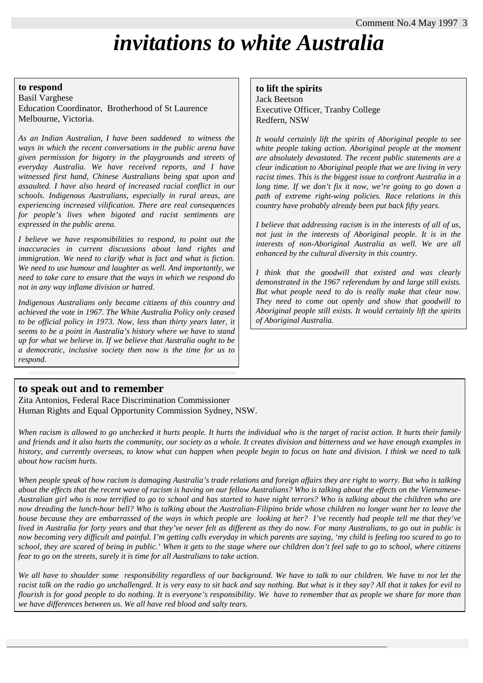# *invitations to white Australia*

#### **to respond**

Basil Varghese Education Coordinator, Brotherhood of St Laurence Melbourne, Victoria.

*As an Indian Australian, I have been saddened to witness the ways in which the recent conversations in the public arena have given permission for bigotry in the playgrounds and streets of everyday Australia. We have received reports, and I have witnessed first hand, Chinese Australians being spat upon and assaulted. I have also heard of increased racial conflict in our schools. Indigenous Australians, especially in rural areas, are experiencing increased vilification. There are real consequences for people's lives when bigoted and racist sentiments are expressed in the public arena.* 

*I believe we have responsibilities to respond, to point out the inaccuracies in current discussions about land rights and immigration. We need to clarify what is fact and what is fiction. We need to use humour and laughter as well. And importantly, we need to take care to ensure that the ways in which we respond do not in any way inflame division or hatred.* 

*Indigenous Australians only became citizens of this country and achieved the vote in 1967. The White Australia Policy only ceased to be official policy in 1973. Now, less than thirty years later, it seems to be a point in Australia's history where we have to stand up for what we believe in. If we believe that Australia ought to be a democratic, inclusive society then now is the time for us to respond.*

#### **to lift the spirits**

Jack Beetson Executive Officer, Tranby College Redfern, NSW

*It would certainly lift the spirits of Aboriginal people to see white people taking action. Aboriginal people at the moment are absolutely devastated. The recent public statements are a clear indication to Aboriginal people that we are living in very racist times. This is the biggest issue to confront Australia in a long time. If we don't fix it now, we're going to go down a path of extreme right-wing policies. Race relations in this country have probably already been put back fifty years.* 

*I believe that addressing racism is in the interests of all of us, not just in the interests of Aboriginal people. It is in the interests of non-Aboriginal Australia as well. We are all enhanced by the cultural diversity in this country.*

*I think that the goodwill that existed and was clearly demonstrated in the 1967 referendum by and large still exists. But what people need to do is really make that clear now. They need to come out openly and show that goodwill to Aboriginal people still exists. It would certainly lift the spirits of Aboriginal Australia.* 

**to speak out and to remember** Zita Antonios, Federal Race Discrimination Commissioner Human Rights and Equal Opportunity Commission Sydney, NSW.

*When racism is allowed to go unchecked it hurts people. It hurts the individual who is the target of racist action. It hurts their family and friends and it also hurts the community, our society as a whole. It creates division and bitterness and we have enough examples in history, and currently overseas, to know what can happen when people begin to focus on hate and division. I think we need to talk about how racism hurts.* 

*When people speak of how racism is damaging Australia's trade relations and foreign affairs they are right to worry. But who is talking about the effects that the recent wave of racism is having on our fellow Australians? Who is talking about the effects on the Vietnamese-Australian girl who is now terrified to go to school and has started to have night terrors? Who is talking about the children who are now dreading the lunch-hour bell? Who is talking about the Australian-Filipino bride whose children no longer want her to leave the house because they are embarrassed of the ways in which people are looking at her? I've recently had people tell me that they've lived in Australia for forty years and that they've never felt as different as they do now. For many Australians, to go out in public is now becoming very difficult and painful. I'm getting calls everyday in which parents are saying, 'my child is feeling too scared to go to school, they are scared of being in public.' When it gets to the stage where our children don't feel safe to go to school, where citizens fear to go on the streets, surely it is time for all Australians to take action.* 

*We all have to shoulder some responsibility regardless of our background. We have to talk to our children. We have to not let the racist talk on the radio go unchallenged. It is very easy to sit back and say nothing. But what is it they say? All that it takes for evil to flourish is for good people to do nothing. It is everyone's responsibility. We have to remember that as people we share far more than we have differences between us. We all have red blood and salty tears.*

 $\_$  ,  $\_$  ,  $\_$  ,  $\_$  ,  $\_$  ,  $\_$  ,  $\_$  ,  $\_$  ,  $\_$  ,  $\_$  ,  $\_$  ,  $\_$  ,  $\_$  ,  $\_$  ,  $\_$  ,  $\_$  ,  $\_$  ,  $\_$  ,  $\_$  ,  $\_$  ,  $\_$  ,  $\_$  ,  $\_$  ,  $\_$  ,  $\_$  ,  $\_$  ,  $\_$  ,  $\_$  ,  $\_$  ,  $\_$  ,  $\_$  ,  $\_$  ,  $\_$  ,  $\_$  ,  $\_$  ,  $\_$  ,  $\_$  ,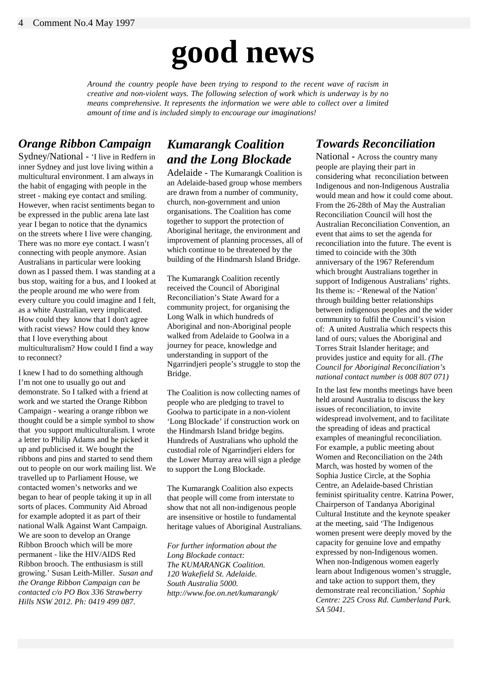# **good news**

*Around the country people have been trying to respond to the recent wave of racism in creative and non-violent ways. The following selection of work which is underway is by no means comprehensive. It represents the information we were able to collect over a limited amount of time and is included simply to encourage our imaginations!* 

#### *Orange Ribbon Campaign*

Sydney/National *-* 'I live in Redfern in inner Sydney and just love living within a multicultural environment. I am always in the habit of engaging with people in the street - making eye contact and smiling. However, when racist sentiments began to be expressed in the public arena late last year I began to notice that the dynamics on the streets where I live were changing. There was no more eye contact. I wasn't connecting with people anymore. Asian Australians in particular were looking down as I passed them. I was standing at a bus stop, waiting for a bus, and I looked at the people around me who were from every culture you could imagine and I felt, as a white Australian, very implicated. How could they know that I don't agree with racist views? How could they know that I love everything about multiculturalism? How could I find a way to reconnect?

I knew I had to do something although I'm not one to usually go out and demonstrate. So I talked with a friend at work and we started the Orange Ribbon Campaign - wearing a orange ribbon we thought could be a simple symbol to show that you support multiculturalism. I wrote a letter to Philip Adams and he picked it up and publicised it. We bought the ribbons and pins and started to send them out to people on our work mailing list. We travelled up to Parliament House, we contacted women's networks and we began to hear of people taking it up in all sorts of places. Community Aid Abroad for example adopted it as part of their national Walk Against Want Campaign. We are soon to develop an Orange Ribbon Brooch which will be more permanent - like the HIV/AIDS Red Ribbon brooch. The enthusiasm is still growing.' Susan Leith-Miller. *Susan and the Orange Ribbon Campaign can be contacted c/o PO Box 336 Strawberry Hills NSW 2012. Ph: 0419 499 087.*

#### *Kumarangk Coalition and the Long Blockade*

Adelaide - The Kumarangk Coalition is an Adelaide-based group whose members are drawn from a number of community, church, non-government and union organisations. The Coalition has come together to support the protection of Aboriginal heritage, the environment and improvement of planning processes, all of which continue to be threatened by the building of the Hindmarsh Island Bridge.

The Kumarangk Coalition recently received the Council of Aboriginal Reconciliation's State Award for a community project, for organising the Long Walk in which hundreds of Aboriginal and non-Aboriginal people walked from Adelaide to Goolwa in a journey for peace, knowledge and understanding in support of the Ngarrindjeri people's struggle to stop the Bridge.

The Coalition is now collecting names of people who are pledging to travel to Goolwa to participate in a non-violent 'Long Blockade' if construction work on the Hindmarsh Island bridge begins. Hundreds of Australians who uphold the custodial role of Ngarrindjeri elders for the Lower Murray area will sign a pledge to support the Long Blockade.

The Kumarangk Coalition also expects that people will come from interstate to show that not all non-indigenous people are insensitive or hostile to fundamental heritage values of Aboriginal Australians.

*For further information about the Long Blockade contact: The KUMARANGK Coalition. 120 Wakefield St. Adelaide. South Australia 5000. http://www.foe.on.net/kumarangk/*

#### *Towards Reconciliation*

National *-* Across the country many people are playing their part in considering what reconciliation between Indigenous and non-Indigenous Australia would mean and how it could come about. From the 26-28th of May the Australian Reconciliation Council will host the Australian Reconciliation Convention, an event that aims to set the agenda for reconciliation into the future. The event is timed to coincide with the 30th anniversary of the 1967 Referendum which brought Australians together in support of Indigenous Australians' rights. Its theme is: -'Renewal of the Nation' through building better relationships between indigenous peoples and the wider community to fulfil the Council's vision of: A united Australia which respects this land of ours; values the Aboriginal and Torres Strait Islander heritage; and provides justice and equity for all. *(The Council for Aboriginal Reconciliation's national contact number is 008 807 071)*

In the last few months meetings have been held around Australia to discuss the key issues of reconciliation, to invite widespread involvement, and to facilitate the spreading of ideas and practical examples of meaningful reconciliation. For example, a public meeting about Women and Reconciliation on the 24th March, was hosted by women of the Sophia Justice Circle, at the Sophia Centre, an Adelaide-based Christian feminist spirituality centre. Katrina Power, Chairperson of Tandanya Aboriginal Cultural Institute and the keynote speaker at the meeting, said 'The Indigenous women present were deeply moved by the capacity for genuine love and empathy expressed by non-Indigenous women. When non-Indigenous women eagerly learn about Indigenous women's struggle, and take action to support them, they demonstrate real reconciliation.' *Sophia Centre: 225 Cross Rd. Cumberland Park. SA 5041.*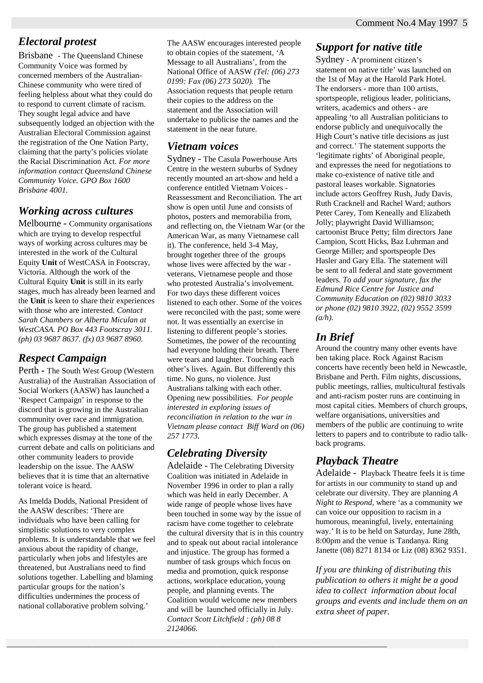#### *Electoral protest*

Brisbane - The Queensland Chinese Community Voice was formed by concerned members of the Australian-Chinese community who were tired of feeling helpless about what they could do to respond to current climate of racism. They sought legal advice and have subsequently lodged an objection with the Australian Electoral Commission against the registration of the One Nation Party, claiming that the party's policies violate the Racial Discrimination Act. *For more information contact Queensland Chinese Community Voice. GPO Box 1600 Brisbane 4001.*

#### *Working across cultures*

Melbourne - Community organisations which are trying to develop respectful ways of working across cultures may be interested in the work of the Cultural Equity **Unit** of WestCASA in Footscray, Victoria. Although the work of the Cultural Equity **Unit** is still in its early stages, much has already been learned and the **Unit** is keen to share their experiences with those who are interested. *Contact Sarah Chambers or Alberta Miculan at WestCASA. PO Box 443 Footscray 3011. (ph) 03 9687 8637. (fx) 03 9687 8960.*

#### *Respect Campaign*

Perth **-** The South West Group (Western Australia) of the Australian Association of Social Workers (AASW) has launched a 'Respect Campaign' in response to the discord that is growing in the Australian community over race and immigration. The group has published a statement which expresses dismay at the tone of the current debate and calls on politicians and other community leaders to provide leadership on the issue. The AASW believes that it is time that an alternative tolerant voice is heard.

As Imelda Dodds, National President of the AASW describes: 'There are individuals who have been calling for simplistic solutions to very complex problems. It is understandable that we feel anxious about the rapidity of change, particularly when jobs and lifestyles are threatened, but Australians need to find solutions together. Labelling and blaming particular groups for the nation's difficulties undermines the process of national collaborative problem solving.'

The AASW encourages interested people to obtain copies of the statement, 'A Message to all Australians', from the National Office of AASW *(Tel: (06) 273 0199: Fax (06) 273 5020).* The Association requests that people return their copies to the address on the statement and the Association will undertake to publicise the names and the statement in the near future.

#### *Vietnam voices*

Sydney - The Casula Powerhouse Arts Centre in the western suburbs of Sydney recently mounted an art-show and held a conference entitled Vietnam Voices - Reassessment and Reconciliation. The art show is open until June and consists of photos, posters and memorabilia from, and reflecting on, the Vietnam War (or the American War, as many Vietnamese call it). The conference, held 3-4 May, brought together three of the groups whose lives were affected by the war veterans, Vietnamese people and those who protested Australia's involvement. For two days these different voices listened to each other. Some of the voices were reconciled with the past; some were not. It was essentially an exercise in listening to different people's stories. Sometimes, the power of the recounting had everyone holding their breath. There were tears and laughter. Touching each other's lives. Again. But differently this time. No guns, no violence. Just Australians talking with each other. Opening new possibilities. *For people interested in exploring issues of reconciliation in relation to the war in Vietnam please contact Biff Ward on (06) 257 1773.*

#### *Celebrating Diversity*

 $\_$  ,  $\_$  ,  $\_$  ,  $\_$  ,  $\_$  ,  $\_$  ,  $\_$  ,  $\_$  ,  $\_$  ,  $\_$  ,  $\_$  ,  $\_$  ,  $\_$  ,  $\_$  ,  $\_$  ,  $\_$  ,  $\_$  ,  $\_$  ,  $\_$  ,  $\_$  ,  $\_$  ,  $\_$  ,  $\_$  ,  $\_$  ,  $\_$  ,  $\_$  ,  $\_$  ,  $\_$  ,  $\_$  ,  $\_$  ,  $\_$  ,  $\_$  ,  $\_$  ,  $\_$  ,  $\_$  ,  $\_$  ,  $\_$  ,

Adelaide - The Celebrating Diversity Coalition was initiated in Adelaide in November 1996 in order to plan a rally which was held in early December. A wide range of people whose lives have been touched in some way by the issue of racism have come together to celebrate the cultural diversity that is in this country and to speak out about racial intolerance and injustice. The group has formed a number of task groups which focus on media and promotion, quick response actions, workplace education, young people, and planning events. The Coalition would welcome new members and will be launched officially in July. *Contact Scott Litchfield : (ph) 08 8 2124066.*

#### *Support for native title*

Sydney - A'prominent citizen's statement on native title' was launched on the 1st of May at the Harold Park Hotel. The endorsers - more than 100 artists, sportspeople, religious leader, politicians, writers, academics and others - are appealing 'to all Australian politicians to endorse publicly and unequivocally the High Court's native title decisions as just and correct.' The statement supports the 'legitimate rights' of Aboriginal people, and expresses the need for negotiations to make co-existence of native title and pastoral leases workable. Signatories include actors Geoffrey Rush, Judy Davis, Ruth Cracknell and Rachel Ward; authors Peter Carey, Tom Keneally and Elizabeth Jolly; playwright David Williamson; cartoonist Bruce Petty; film directors Jane Campion, Scott Hicks, Baz Luhrman and George Miller; and sportspeople Des Hasler and Gary Ella. The statement will be sent to all federal and state government leaders. *To add your signature, fax the Edmund Rice Centre for Justice and Community Education on (02) 9810 3033 or phone (02) 9810 3922, (02) 9552 3599 (a/h).*

#### *In Brief*

Around the country many other events have ben taking place. Rock Against Racism concerts have recently been held in Newcastle, Brisbane and Perth. Film nights, discussions, public meetings, rallies, multicultural festivals and anti-racism poster runs are continuing in most capital cities. Members of church groups, welfare organisations, universities and members of the public are continuing to write letters to papers and to contribute to radio talkback programs.

#### *Playback Theatre*

Adelaide - Playback Theatre feels it is time for artists in our community to stand up and celebrate our diversity. They are planning *A Night to Respond,* where 'as a community we can voice our opposition to racism in a humorous, meaningful, lively, entertaining way.' It is to be held on Saturday, June 28th, 8:00pm and the venue is Tandanya. Ring Janette (08) 8271 8134 or Liz (08) 8362 9351.

*If you are thinking of distributing this publication to others it might be a good idea to collect information about local groups and events and include them on an extra sheet of paper.*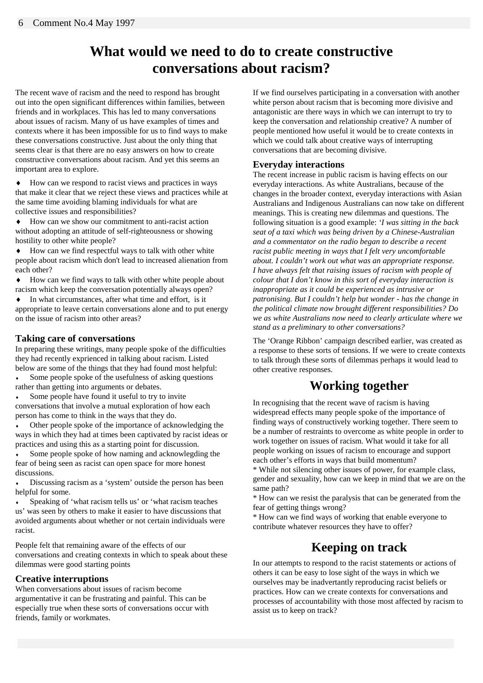### **What would we need to do to create constructive conversations about racism?**

The recent wave of racism and the need to respond has brought out into the open significant differences within families, between friends and in workplaces. This has led to many conversations about issues of racism. Many of us have examples of times and contexts where it has been impossible for us to find ways to make these conversations constructive. Just about the only thing that seems clear is that there are no easy answers on how to create constructive conversations about racism. And yet this seems an important area to explore.

♦ How can we respond to racist views and practices in ways that make it clear that we reject these views and practices while at the same time avoiding blaming individuals for what are collective issues and responsibilities?

♦ How can we show our commitment to anti-racist action without adopting an attitude of self-righteousness or showing hostility to other white people?

♦ How can we find respectful ways to talk with other white people about racism which don't lead to increased alienation from each other?

♦ How can we find ways to talk with other white people about racism which keep the conversation potentially always open?

♦ In what circumstances, after what time and effort, is it appropriate to leave certain conversations alone and to put energy on the issue of racism into other areas?

#### **Taking care of conversations**

In preparing these writings, many people spoke of the difficulties they had recently exprienced in talking about racism. Listed below are some of the things that they had found most helpful:

• Some people spoke of the usefulness of asking questions rather than getting into arguments or debates.

• Some people have found it useful to try to invite conversations that involve a mutual exploration of how each person has come to think in the ways that they do.

Other people spoke of the importance of acknowledging the ways in which they had at times been captivated by racist ideas or practices and using this as a starting point for discussion.

Some people spoke of how naming and acknowlegding the fear of being seen as racist can open space for more honest discussions.

Discussing racism as a 'system' outside the person has been helpful for some.

Speaking of 'what racism tells us' or 'what racism teaches us' was seen by others to make it easier to have discussions that avoided arguments about whether or not certain individuals were racist.

People felt that remaining aware of the effects of our conversations and creating contexts in which to speak about these dilemmas were good starting points

#### **Creative interruptions**

When conversations about issues of racism become argumentative it can be frustrating and painful. This can be especially true when these sorts of conversations occur with friends, family or workmates.

If we find ourselves participating in a conversation with another white person about racism that is becoming more divisive and antagonistic are there ways in which we can interrupt to try to keep the conversation and relationship creative? A number of people mentioned how useful it would be to create contexts in which we could talk about creative ways of interrupting conversations that are becoming divisive.

#### **Everyday interactions**

The recent increase in public racism is having effects on our everyday interactions. As white Australians, because of the changes in the broader context, everyday interactions with Asian Australians and Indigenous Australians can now take on different meanings. This is creating new dilemmas and questions. The following situation is a good example: *'I was sitting in the back seat of a taxi which was being driven by a Chinese-Australian and a commentator on the radio began to describe a recent racist public meeting in ways that I felt very uncomfortable about. I couldn't work out what was an appropriate response. I have always felt that raising issues of racism with people of colour that I don't know in this sort of everyday interaction is inappropriate as it could be experienced as intrusive or patronising. But I couldn't help but wonder - has the change in the political climate now brought different responsibilities? Do we as white Australians now need to clearly articulate where we stand as a preliminary to other conversations?*

The 'Orange Ribbon' campaign described earlier, was created as a response to these sorts of tensions. If we were to create contexts to talk through these sorts of dilemmas perhaps it would lead to other creative responses.

#### **Working together**

In recognising that the recent wave of racism is having widespread effects many people spoke of the importance of finding ways of constructively working together. There seem to be a number of restraints to overcome as white people in order to work together on issues of racism. What would it take for all people working on issues of racism to encourage and support each other's efforts in ways that build momentum?

\* While not silencing other issues of power, for example class, gender and sexuality, how can we keep in mind that we are on the same path?

\* How can we resist the paralysis that can be generated from the fear of getting things wrong?

\* How can we find ways of working that enable everyone to contribute whatever resources they have to offer?

#### **Keeping on track**

In our attempts to respond to the racist statements or actions of others it can be easy to lose sight of the ways in which we ourselves may be inadvertantly reproducing racist beliefs or practices. How can we create contexts for conversations and processes of accountability with those most affected by racism to assist us to keep on track?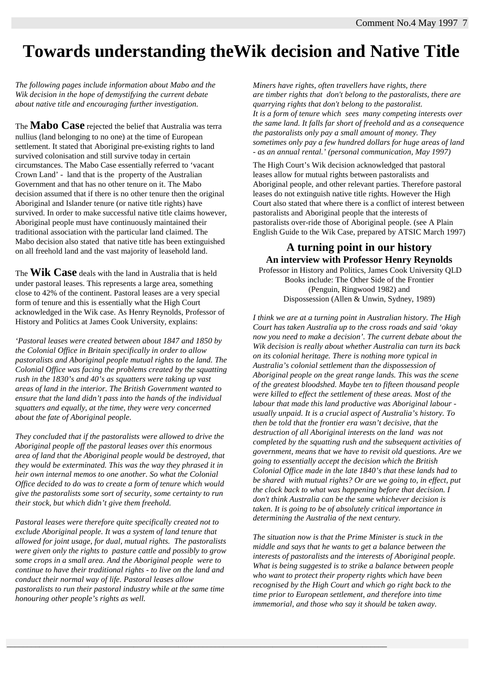# **Towards understanding theWik decision and Native Title**

*The following pages include information about Mabo and the Wik decision in the hope of demystifying the current debate about native title and encouraging further investigation.* 

The **Mabo Case** rejected the belief that Australia was terra nullius (land belonging to no one) at the time of European settlement. It stated that Aboriginal pre-existing rights to land survived colonisation and still survive today in certain circumstances. The Mabo Case essentially referred to 'vacant Crown Land' - land that is the property of the Australian Government and that has no other tenure on it. The Mabo decision assumed that if there is no other tenure then the original Aboriginal and Islander tenure (or native title rights) have survived. In order to make successful native title claims however, Aboriginal people must have continuously maintained their traditional association with the particular land claimed. The Mabo decision also stated that native title has been extinguished on all freehold land and the vast majority of leasehold land.

The **Wik Case** deals with the land in Australia that is held under pastoral leases. This represents a large area, something close to 42% of the continent. Pastoral leases are a very special form of tenure and this is essentially what the High Court acknowledged in the Wik case. As Henry Reynolds, Professor of History and Politics at James Cook University, explains:

*'Pastoral leases were created between about 1847 and 1850 by the Colonial Office in Britain specifically in order to allow pastoralists and Aboriginal people mutual rights to the land. The Colonial Office was facing the problems created by the squatting rush in the 1830's and 40's as squatters were taking up vast areas of land in the interior. The British Government wanted to ensure that the land didn't pass into the hands of the individual squatters and equally, at the time, they were very concerned about the fate of Aboriginal people.* 

*They concluded that if the pastoralists were allowed to drive the Aboriginal people off the pastoral leases over this enormous area of land that the Aboriginal people would be destroyed, that they would be exterminated. This was the way they phrased it in heir own internal memos to one another. So what the Colonial Office decided to do was to create a form of tenure which would give the pastoralists some sort of security, some certainty to run their stock, but which didn't give them freehold.* 

*Pastoral leases were therefore quite specifically created not to exclude Aboriginal people. It was a system of land tenure that allowed for joint usage, for dual, mutual rights. The pastoralists were given only the rights to pasture cattle and possibly to grow some crops in a small area. And the Aboriginal people were to continue to have their traditional rights - to live on the land and conduct their normal way of life. Pastoral leases allow pastoralists to run their pastoral industry while at the same time honouring other people's rights as well.* 

 $\_$  ,  $\_$  ,  $\_$  ,  $\_$  ,  $\_$  ,  $\_$  ,  $\_$  ,  $\_$  ,  $\_$  ,  $\_$  ,  $\_$  ,  $\_$  ,  $\_$  ,  $\_$  ,  $\_$  ,  $\_$  ,  $\_$  ,  $\_$  ,  $\_$  ,  $\_$  ,  $\_$  ,  $\_$  ,  $\_$  ,  $\_$  ,  $\_$  ,  $\_$  ,  $\_$  ,  $\_$  ,  $\_$  ,  $\_$  ,  $\_$  ,  $\_$  ,  $\_$  ,  $\_$  ,  $\_$  ,  $\_$  ,  $\_$  ,

*Miners have rights, often travellers have rights, there are timber rights that don't belong to the pastoralists, there are quarrying rights that don't belong to the pastoralist. It is a form of tenure which sees many competing interests over the same land. It falls far short of freehold and as a consequence the pastoralists only pay a small amount of money. They sometimes only pay a few hundred dollars for huge areas of land - as an annual rental.' (personal communication, May 1997)*

The High Court's Wik decision acknowledged that pastoral leases allow for mutual rights between pastoralists and Aboriginal people, and other relevant parties. Therefore pastoral leases do not extinguish native title rights. However the High Court also stated that where there is a conflict of interest between pastoralists and Aboriginal people that the interests of pastoralists over-ride those of Aboriginal people. (see A Plain English Guide to the Wik Case, prepared by ATSIC March 1997)

#### **A turning point in our history An interview with Professor Henry Reynolds** Professor in History and Politics, James Cook University QLD

Books include: The Other Side of the Frontier (Penguin, Ringwood 1982) and Dispossession (Allen & Unwin, Sydney, 1989)

*I think we are at a turning point in Australian history. The High Court has taken Australia up to the cross roads and said 'okay now you need to make a decision'. The current debate about the Wik decision is really about whether Australia can turn its back on its colonial heritage. There is nothing more typical in Australia's colonial settlement than the dispossession of Aboriginal people on the great range lands. This was the scene of the greatest bloodshed. Maybe ten to fifteen thousand people were killed to effect the settlement of these areas. Most of the labour that made this land productive was Aboriginal labour usually unpaid. It is a crucial aspect of Australia's history. To then be told that the frontier era wasn't decisive, that the destruction of all Aboriginal interests on the land was not completed by the squatting rush and the subsequent activities of government, means that we have to revisit old questions. Are we going to essentially accept the decision which the British Colonial Office made in the late 1840's that these lands had to be shared with mutual rights? Or are we going to, in effect, put the clock back to what was happening before that decision. I don't think Australia can be the same whichever decision is taken. It is going to be of absolutely critical importance in determining the Australia of the next century.* 

*The situation now is that the Prime Minister is stuck in the middle and says that he wants to get a balance between the interests of pastoralists and the interests of Aboriginal people. What is being suggested is to strike a balance between people who want to protect their property rights which have been recognised by the High Court and which go right back to the time prior to European settlement, and therefore into time immemorial, and those who say it should be taken away.*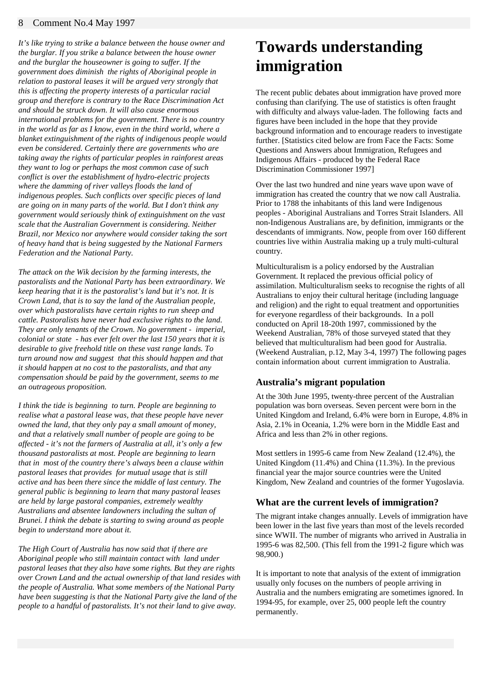#### 8 Comment No.4 May 1997

*It's like trying to strike a balance between the house owner and the burglar. If you strike a balance between the house owner and the burglar the houseowner is going to suffer. If the government does diminish the rights of Aboriginal people in relation to pastoral leases it will be argued very strongly that this is affecting the property interests of a particular racial group and therefore is contrary to the Race Discrimination Act and should be struck down. It will also cause enormous international problems for the government. There is no country in the world as far as I know, even in the third world, where a blanket extinguishment of the rights of indigenous people would even be considered. Certainly there are governments who are taking away the rights of particular peoples in rainforest areas they want to log or perhaps the most common case of such conflict is over the establishment of hydro-electric projects where the damming of river valleys floods the land of indigenous peoples. Such conflicts over specific pieces of land are going on in many parts of the world. But I don't think any government would seriously think of extinguishment on the vast scale that the Australian Government is considering. Neither Brazil, nor Mexico nor anywhere would consider taking the sort of heavy hand that is being suggested by the National Farmers Federation and the National Party.* 

*The attack on the Wik decision by the farming interests, the pastoralists and the National Party has been extraordinary. We keep hearing that it is the pastoralist's land but it's not. It is Crown Land, that is to say the land of the Australian people, over which pastoralists have certain rights to run sheep and cattle. Pastoralists have never had exclusive rights to the land. They are only tenants of the Crown. No government - imperial, colonial or state - has ever felt over the last 150 years that it is desirable to give freehold title on these vast range lands. To turn around now and suggest that this should happen and that it should happen at no cost to the pastoralists, and that any compensation should be paid by the government, seems to me an outrageous proposition.* 

*I think the tide is beginning to turn. People are beginning to realise what a pastoral lease was, that these people have never owned the land, that they only pay a small amount of money, and that a relatively small number of people are going to be affected - it's not the farmers of Australia at all, it's only a few thousand pastoralists at most. People are beginning to learn that in most of the country there's always been a clause within pastoral leases that provides for mutual usage that is still active and has been there since the middle of last century. The general public is beginning to learn that many pastoral leases are held by large pastoral companies, extremely wealthy Australians and absentee landowners including the sultan of Brunei. I think the debate is starting to swing around as people begin to understand more about it.* 

*The High Court of Australia has now said that if there are Aboriginal people who still maintain contact with land under pastoral leases that they also have some rights. But they are rights over Crown Land and the actual ownership of that land resides with the people of Australia. What some members of the National Party have been suggesting is that the National Party give the land of the people to a handful of pastoralists. It's not their land to give away.* 

## **Towards understanding immigration**

The recent public debates about immigration have proved more confusing than clarifying. The use of statistics is often fraught with difficulty and always value-laden. The following facts and figures have been included in the hope that they provide background information and to encourage readers to investigate further. [Statistics cited below are from Face the Facts: Some Questions and Answers about Immigration, Refugees and Indigenous Affairs - produced by the Federal Race Discrimination Commissioner 1997]

Over the last two hundred and nine years wave upon wave of immigration has created the country that we now call Australia. Prior to 1788 the inhabitants of this land were Indigenous peoples - Aboriginal Australians and Torres Strait Islanders. All non-Indigenous Australians are, by definition, immigrants or the descendants of immigrants. Now, people from over 160 different countries live within Australia making up a truly multi-cultural country.

Multiculturalism is a policy endorsed by the Australian Government. It replaced the previous official policy of assimilation. Multiculturalism seeks to recognise the rights of all Australians to enjoy their cultural heritage (including language and religion) and the right to equal treatment and opportunities for everyone regardless of their backgrounds. In a poll conducted on April 18-20th 1997, commissioned by the Weekend Australian, 78% of those surveyed stated that they believed that multiculturalism had been good for Australia. (Weekend Australian, p.12, May 3-4, 1997) The following pages contain information about current immigration to Australia.

#### **Australia's migrant population**

At the 30th June 1995, twenty-three percent of the Australian population was born overseas. Seven percent were born in the United Kingdom and Ireland, 6.4% were born in Europe, 4.8% in Asia, 2.1% in Oceania, 1.2% were born in the Middle East and Africa and less than 2% in other regions.

Most settlers in 1995-6 came from New Zealand (12.4%), the United Kingdom (11.4%) and China (11.3%). In the previous financial year the major source countries were the United Kingdom, New Zealand and countries of the former Yugoslavia.

#### **What are the current levels of immigration?**

The migrant intake changes annually. Levels of immigration have been lower in the last five years than most of the levels recorded since WWII. The number of migrants who arrived in Australia in 1995-6 was 82,500. (This fell from the 1991-2 figure which was 98,900.)

It is important to note that analysis of the extent of immigration usually only focuses on the numbers of people arriving in Australia and the numbers emigrating are sometimes ignored. In 1994-95, for example, over 25, 000 people left the country permanently.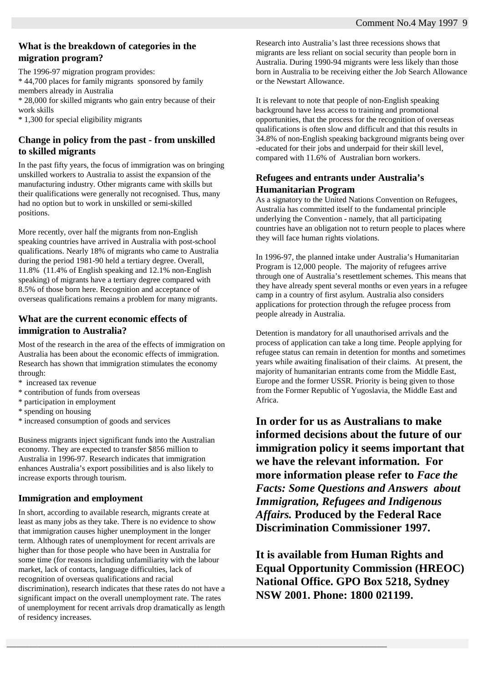#### **What is the breakdown of categories in the migration program?**

The 1996-97 migration program provides: \* 44,700 places for family migrants sponsored by family members already in Australia \* 28,000 for skilled migrants who gain entry because of their work skills \* 1,300 for special eligibility migrants

#### **Change in policy from the past - from unskilled to skilled migrants**

In the past fifty years, the focus of immigration was on bringing unskilled workers to Australia to assist the expansion of the manufacturing industry. Other migrants came with skills but their qualifications were generally not recognised. Thus, many had no option but to work in unskilled or semi-skilled positions.

More recently, over half the migrants from non-English speaking countries have arrived in Australia with post-school qualifications. Nearly 18% of migrants who came to Australia during the period 1981-90 held a tertiary degree. Overall, 11.8% (11.4% of English speaking and 12.1% non-English speaking) of migrants have a tertiary degree compared with 8.5% of those born here. Recognition and acceptance of overseas qualifications remains a problem for many migrants.

#### **What are the current economic effects of immigration to Australia?**

Most of the research in the area of the effects of immigration on Australia has been about the economic effects of immigration. Research has shown that immigration stimulates the economy through:

- \* increased tax revenue
- \* contribution of funds from overseas
- \* participation in employment
- \* spending on housing
- \* increased consumption of goods and services

Business migrants inject significant funds into the Australian economy. They are expected to transfer \$856 million to Australia in 1996-97. Research indicates that immigration enhances Australia's export possibilities and is also likely to increase exports through tourism.

#### **Immigration and employment**

In short, according to available research, migrants create at least as many jobs as they take. There is no evidence to show that immigration causes higher unemployment in the longer term. Although rates of unemployment for recent arrivals are higher than for those people who have been in Australia for some time (for reasons including unfamiliarity with the labour market, lack of contacts, language difficulties, lack of recognition of overseas qualifications and racial discrimination), research indicates that these rates do not have a significant impact on the overall unemployment rate. The rates of unemployment for recent arrivals drop dramatically as length of residency increases.

 $\_$  ,  $\_$  ,  $\_$  ,  $\_$  ,  $\_$  ,  $\_$  ,  $\_$  ,  $\_$  ,  $\_$  ,  $\_$  ,  $\_$  ,  $\_$  ,  $\_$  ,  $\_$  ,  $\_$  ,  $\_$  ,  $\_$  ,  $\_$  ,  $\_$  ,  $\_$  ,  $\_$  ,  $\_$  ,  $\_$  ,  $\_$  ,  $\_$  ,  $\_$  ,  $\_$  ,  $\_$  ,  $\_$  ,  $\_$  ,  $\_$  ,  $\_$  ,  $\_$  ,  $\_$  ,  $\_$  ,  $\_$  ,  $\_$  ,

Research into Australia's last three recessions shows that migrants are less reliant on social security than people born in Australia. During 1990-94 migrants were less likely than those born in Australia to be receiving either the Job Search Allowance or the Newstart Allowance.

It is relevant to note that people of non-English speaking background have less access to training and promotional opportunities, that the process for the recognition of overseas qualifications is often slow and difficult and that this results in 34.8% of non-English speaking background migrants being over -educated for their jobs and underpaid for their skill level, compared with 11.6% of Australian born workers.

#### **Refugees and entrants under Australia's Humanitarian Program**

As a signatory to the United Nations Convention on Refugees, Australia has committed itself to the fundamental principle underlying the Convention - namely, that all participating countries have an obligation not to return people to places where they will face human rights violations.

In 1996-97, the planned intake under Australia's Humanitarian Program is 12,000 people. The majority of refugees arrive through one of Australia's resettlement schemes. This means that they have already spent several months or even years in a refugee camp in a country of first asylum. Australia also considers applications for protection through the refugee process from people already in Australia.

Detention is mandatory for all unauthorised arrivals and the process of application can take a long time. People applying for refugee status can remain in detention for months and sometimes years while awaiting finalisation of their claims. At present, the majority of humanitarian entrants come from the Middle East, Europe and the former USSR. Priority is being given to those from the Former Republic of Yugoslavia, the Middle East and Africa.

**In order for us as Australians to make informed decisions about the future of our immigration policy it seems important that we have the relevant information. For more information please refer to** *Face the Facts: Some Questions and Answers about Immigration, Refugees and Indigenous Affairs.* **Produced by the Federal Race Discrimination Commissioner 1997.** 

**It is available from Human Rights and Equal Opportunity Commission (HREOC) National Office. GPO Box 5218, Sydney NSW 2001. Phone: 1800 021199.**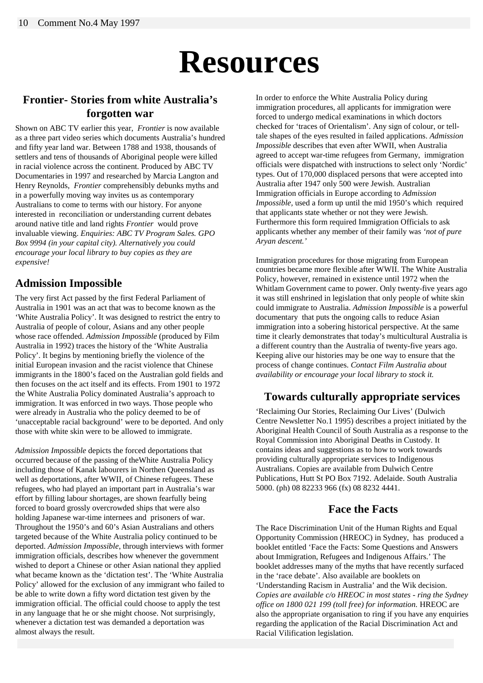# **Resources**

#### **Frontier- Stories from white Australia's forgotten war**

Shown on ABC TV earlier this year, *Frontier* is now available as a three part video series which documents Australia's hundred and fifty year land war. Between 1788 and 1938, thousands of settlers and tens of thousands of Aboriginal people were killed in racial violence across the continent. Produced by ABC TV Documentaries in 1997 and researched by Marcia Langton and Henry Reynolds, *Frontier* comprehensibly debunks myths and in a powerfully moving way invites us as contemporary Australians to come to terms with our history. For anyone interested in reconciliation or understanding current debates around native title and land rights *Frontier* would prove invaluable viewing. *Enquiries: ABC TV Program Sales. GPO Box 9994 (in your capital city). Alternatively you could encourage your local library to buy copies as they are expensive!*

#### **Admission Impossible**

The very first Act passed by the first Federal Parliament of Australia in 1901 was an act that was to become known as the 'White Australia Policy'. It was designed to restrict the entry to Australia of people of colour, Asians and any other people whose race offended. *Admission Impossible* (produced by Film Australia in 1992) traces the history of the 'White Australia Policy'. It begins by mentioning briefly the violence of the initial European invasion and the racist violence that Chinese immigrants in the 1800's faced on the Australian gold fields and then focuses on the act itself and its effects. From 1901 to 1972 the White Australia Policy dominated Australia's approach to immigration. It was enforced in two ways. Those people who were already in Australia who the policy deemed to be of 'unacceptable racial background' were to be deported. And only those with white skin were to be allowed to immigrate.

*Admission Impossible* depicts the forced deportations that occurred because of the passing of theWhite Australia Policy including those of Kanak labourers in Northen Queensland as well as deportations, after WWII, of Chinese refugees. These refugees, who had played an important part in Australia's war effort by filling labour shortages, are shown fearfully being forced to board grossly overcrowded ships that were also holding Japanese war-time internees and prisoners of war. Throughout the 1950's and 60's Asian Australians and others targeted because of the White Australia policy continued to be deported. *Admission Impossible*, through interviews with former immigration officials, describes how whenever the government wished to deport a Chinese or other Asian national they applied what became known as the 'dictation test'. The 'White Australia Policy' allowed for the exclusion of any immigrant who failed to be able to write down a fifty word dictation test given by the immigration official. The official could choose to apply the test in any language that he or she might choose. Not surprisingly, whenever a dictation test was demanded a deportation was almost always the result.

In order to enforce the White Australia Policy during immigration procedures, all applicants for immigration were forced to undergo medical examinations in which doctors checked for 'traces of Orientalism'. Any sign of colour, or telltale shapes of the eyes resulted in failed applications. *Admission Impossible* describes that even after WWII, when Australia agreed to accept war-time refugees from Germany, immigration officials were dispatched with instructions to select only 'Nordic' types. Out of 170,000 displaced persons that were accepted into Australia after 1947 only 500 were Jewish. Australian Immigration officials in Europe according to *Admission Impossible,* used a form up until the mid 1950's which required that applicants state whether or not they were Jewish. Furthermore this form required Immigration Officials to ask applicants whether any member of their family was *'not of pure Aryan descent.'*

Immigration procedures for those migrating from European countries became more flexible after WWII. The White Australia Policy, however, remained in existence until 1972 when the Whitlam Government came to power. Only twenty-five years ago it was still enshrined in legislation that only people of white skin could immigrate to Australia. *Admission Impossible* is a powerful documentary that puts the ongoing calls to reduce Asian immigration into a sobering historical perspective. At the same time it clearly demonstrates that today's multicultural Australia is a different country than the Australia of twenty-five years ago. Keeping alive our histories may be one way to ensure that the process of change continues. *Contact Film Australia about availability or encourage your local library to stock it.* 

#### **Towards culturally appropriate services**

'Reclaiming Our Stories, Reclaiming Our Lives' (Dulwich Centre Newsletter No.1 1995) describes a project initiated by the Aboriginal Health Council of South Australia as a response to the Royal Commission into Aboriginal Deaths in Custody. It contains ideas and suggestions as to how to work towards providing culturally appropriate services to Indigenous Australians. Copies are available from Dulwich Centre Publications, Hutt St PO Box 7192. Adelaide. South Australia 5000. (ph) 08 82233 966 (fx) 08 8232 4441.

#### **Face the Facts**

The Race Discrimination Unit of the Human Rights and Equal Opportunity Commission (HREOC) in Sydney, has produced a booklet entitled 'Face the Facts: Some Questions and Answers about Immigration, Refugees and Indigenous Affairs.' The booklet addresses many of the myths that have recently surfaced in the 'race debate'. Also available are booklets on 'Understanding Racism in Australia' and the Wik decision. *Copies are available c/o HREOC in most states - ring the Sydney office on 1800 021 199 (toll free) for information.* HREOC are also the appropriate organisation to ring if you have any enquiries regarding the application of the Racial Discrimination Act and Racial Vilification legislation.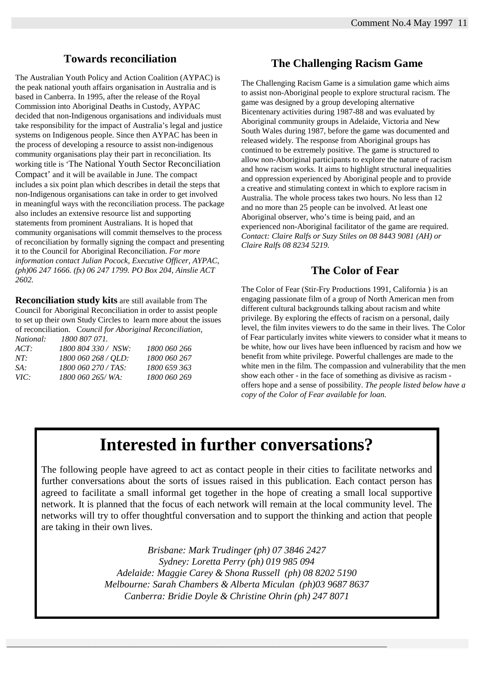#### **Towards reconciliation**

The Australian Youth Policy and Action Coalition (AYPAC) is the peak national youth affairs organisation in Australia and is based in Canberra. In 1995, after the release of the Royal Commission into Aboriginal Deaths in Custody, AYPAC decided that non-Indigenous organisations and individuals must take responsibility for the impact of Australia's legal and justice systems on Indigenous people. Since then AYPAC has been in the process of developing a resource to assist non-indigenous community organisations play their part in reconciliation. Its working title is 'The National Youth Sector Reconciliation Compact' and it will be available in June. The compact includes a six point plan which describes in detail the steps that non-Indigenous organisations can take in order to get involved in meaningful ways with the reconciliation process. The package also includes an extensive resource list and supporting statements from prominent Australians. It is hoped that community organisations will commit themselves to the process of reconciliation by formally signing the compact and presenting it to the Council for Aboriginal Reconciliation. *For more information contact Julian Pocock, Executive Officer, AYPAC, (ph)06 247 1666. (fx) 06 247 1799. PO Box 204, Ainslie ACT 2602.*

**Reconciliation study kits** are still available from The Council for Aboriginal Reconciliation in order to assist people to set up their own Study Circles to learn more about the issues of reconciliation. C*ouncil for Aboriginal Reconciliation, National: 1800 807 071.* 

| 1800 804 330 / NSW: | 1800 060 266  |
|---------------------|---------------|
| 1800 060 268 / OLD: | 1800 060 267  |
| 1800 060 270 / TAS: | 1800 659 363  |
| 1800 060 265/WA:    | 1800 060 269  |
|                     | 1800 807 071. |

#### **The Challenging Racism Game**

The Challenging Racism Game is a simulation game which aims to assist non-Aboriginal people to explore structural racism. The game was designed by a group developing alternative Bicentenary activities during 1987-88 and was evaluated by Aboriginal community groups in Adelaide, Victoria and New South Wales during 1987, before the game was documented and released widely. The response from Aboriginal groups has continued to be extremely positive. The game is structured to allow non-Aboriginal participants to explore the nature of racism and how racism works. It aims to highlight structural inequalities and oppression experienced by Aboriginal people and to provide a creative and stimulating context in which to explore racism in Australia. The whole process takes two hours. No less than 12 and no more than 25 people can be involved. At least one Aboriginal observer, who's time is being paid, and an experienced non-Aboriginal facilitator of the game are required. *Contact: Claire Ralfs or Suzy Stiles on 08 8443 9081 (AH) or Claire Ralfs 08 8234 5219.* 

#### **The Color of Fear**

The Color of Fear (Stir-Fry Productions 1991, California ) is an engaging passionate film of a group of North American men from different cultural backgrounds talking about racism and white privilege. By exploring the effects of racism on a personal, daily level, the film invites viewers to do the same in their lives. The Color of Fear particularly invites white viewers to consider what it means to be white, how our lives have been influenced by racism and how we benefit from white privilege. Powerful challenges are made to the white men in the film. The compassion and vulnerability that the men show each other - in the face of something as divisive as racism offers hope and a sense of possibility. *The people listed below have a copy of the Color of Fear available for loan.* 

# **Interested in further conversations?**

The following people have agreed to act as contact people in their cities to facilitate networks and further conversations about the sorts of issues raised in this publication. Each contact person has agreed to facilitate a small informal get together in the hope of creating a small local supportive network. It is planned that the focus of each network will remain at the local community level. The networks will try to offer thoughtful conversation and to support the thinking and action that people are taking in their own lives.

> *Brisbane: Mark Trudinger (ph) 07 3846 2427 Sydney: Loretta Perry (ph) 019 985 094 Adelaide: Maggie Carey & Shona Russell (ph) 08 8202 5190 Melbourne: Sarah Chambers & Alberta Miculan (ph)03 9687 8637 Canberra: Bridie Doyle & Christine Ohrin (ph) 247 8071*

 $\_$  ,  $\_$  ,  $\_$  ,  $\_$  ,  $\_$  ,  $\_$  ,  $\_$  ,  $\_$  ,  $\_$  ,  $\_$  ,  $\_$  ,  $\_$  ,  $\_$  ,  $\_$  ,  $\_$  ,  $\_$  ,  $\_$  ,  $\_$  ,  $\_$  ,  $\_$  ,  $\_$  ,  $\_$  ,  $\_$  ,  $\_$  ,  $\_$  ,  $\_$  ,  $\_$  ,  $\_$  ,  $\_$  ,  $\_$  ,  $\_$  ,  $\_$  ,  $\_$  ,  $\_$  ,  $\_$  ,  $\_$  ,  $\_$  ,